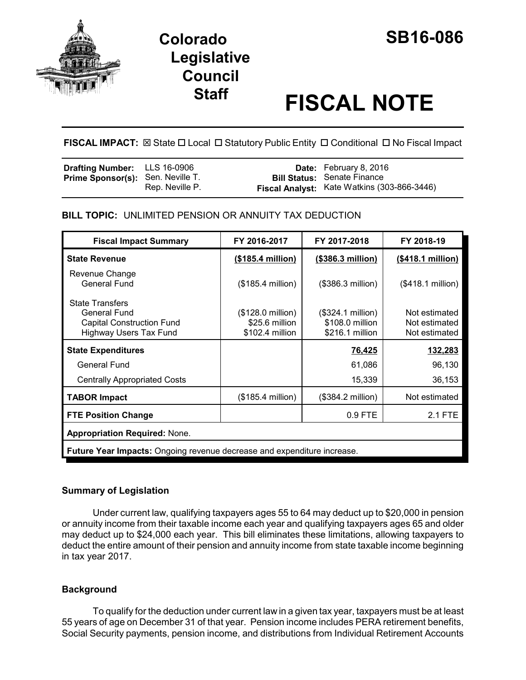

# **Colorado SB16-086 Legislative Council**

# **Staff FISCAL NOTE**

**FISCAL IMPACT:** ⊠ State □ Local □ Statutory Public Entity □ Conditional □ No Fiscal Impact

| <b>Drafting Number:</b> LLS 16-0906      |                 | <b>Date:</b> February 8, 2016               |
|------------------------------------------|-----------------|---------------------------------------------|
| <b>Prime Sponsor(s):</b> Sen. Neville T. |                 | <b>Bill Status: Senate Finance</b>          |
|                                          | Rep. Neville P. | Fiscal Analyst: Kate Watkins (303-866-3446) |

# **BILL TOPIC:** UNLIMITED PENSION OR ANNUITY TAX DEDUCTION

| <b>Fiscal Impact Summary</b>                                                                                | FY 2016-2017                                                    | FY 2017-2018                                            | FY 2018-19                                      |  |
|-------------------------------------------------------------------------------------------------------------|-----------------------------------------------------------------|---------------------------------------------------------|-------------------------------------------------|--|
| <b>State Revenue</b>                                                                                        | (\$185.4 million)                                               | (\$386.3 million)                                       | (\$418.1 million)                               |  |
| Revenue Change<br><b>General Fund</b>                                                                       | (\$185.4 million)                                               | (\$386.3 million)                                       | (\$418.1 million)                               |  |
| <b>State Transfers</b><br>General Fund<br><b>Capital Construction Fund</b><br><b>Highway Users Tax Fund</b> | $($128.0 \text{ million})$<br>\$25.6 million<br>\$102.4 million | (\$324.1 million)<br>\$108.0 million<br>\$216.1 million | Not estimated<br>Not estimated<br>Not estimated |  |
| <b>State Expenditures</b>                                                                                   |                                                                 | <u>76,425</u>                                           | 132,283                                         |  |
| General Fund                                                                                                |                                                                 | 61,086                                                  | 96,130                                          |  |
| <b>Centrally Appropriated Costs</b>                                                                         |                                                                 | 15,339                                                  | 36,153                                          |  |
| <b>TABOR Impact</b>                                                                                         | (\$185.4 million)                                               | (\$384.2 million)                                       | Not estimated                                   |  |
| <b>FTE Position Change</b>                                                                                  |                                                                 | 0.9 FTE                                                 | 2.1 FTE                                         |  |
| <b>Appropriation Required: None.</b>                                                                        |                                                                 |                                                         |                                                 |  |
| Future Year Impacts: Ongoing revenue decrease and expenditure increase.                                     |                                                                 |                                                         |                                                 |  |
|                                                                                                             |                                                                 |                                                         |                                                 |  |

# **Summary of Legislation**

Under current law, qualifying taxpayers ages 55 to 64 may deduct up to \$20,000 in pension or annuity income from their taxable income each year and qualifying taxpayers ages 65 and older may deduct up to \$24,000 each year. This bill eliminates these limitations, allowing taxpayers to deduct the entire amount of their pension and annuity income from state taxable income beginning in tax year 2017.

# **Background**

To qualify for the deduction under current law in a given tax year, taxpayers must be at least 55 years of age on December 31 of that year. Pension income includes PERA retirement benefits, Social Security payments, pension income, and distributions from Individual Retirement Accounts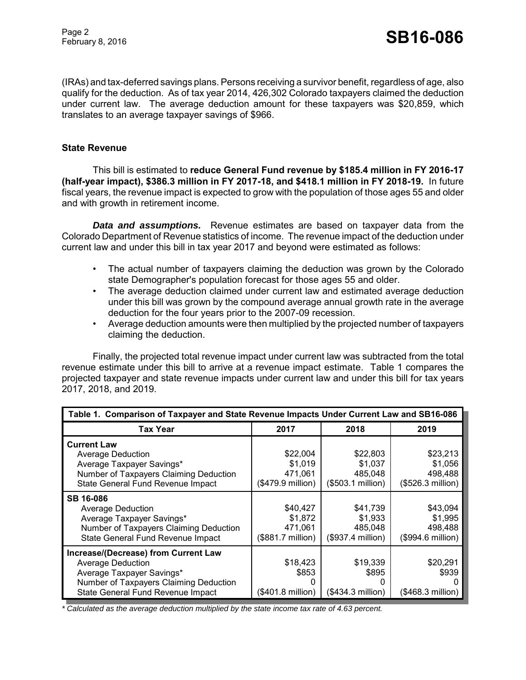(IRAs) and tax-deferred savings plans. Persons receiving a survivor benefit, regardless of age, also qualify for the deduction. As of tax year 2014, 426,302 Colorado taxpayers claimed the deduction under current law. The average deduction amount for these taxpayers was \$20,859, which translates to an average taxpayer savings of \$966.

#### **State Revenue**

This bill is estimated to **reduce General Fund revenue by \$185.4 million in FY 2016-17 (half-year impact), \$386.3 million in FY 2017-18, and \$418.1 million in FY 2018-19.** In future fiscal years, the revenue impact is expected to grow with the population of those ages 55 and older and with growth in retirement income.

*Data and assumptions.* Revenue estimates are based on taxpayer data from the Colorado Department of Revenue statistics of income. The revenue impact of the deduction under current law and under this bill in tax year 2017 and beyond were estimated as follows:

- The actual number of taxpayers claiming the deduction was grown by the Colorado state Demographer's population forecast for those ages 55 and older.
- The average deduction claimed under current law and estimated average deduction under this bill was grown by the compound average annual growth rate in the average deduction for the four years prior to the 2007-09 recession.
- Average deduction amounts were then multiplied by the projected number of taxpayers claiming the deduction.

Finally, the projected total revenue impact under current law was subtracted from the total revenue estimate under this bill to arrive at a revenue impact estimate. Table 1 compares the projected taxpayer and state revenue impacts under current law and under this bill for tax years 2017, 2018, and 2019.

| Table 1. Comparison of Taxpayer and State Revenue Impacts Under Current Law and SB16-086                                                                              |                                                     |                                                      |                                                     |
|-----------------------------------------------------------------------------------------------------------------------------------------------------------------------|-----------------------------------------------------|------------------------------------------------------|-----------------------------------------------------|
| Tax Year                                                                                                                                                              | 2017                                                | 2018                                                 | 2019                                                |
| <b>Current Law</b><br>Average Deduction<br>Average Taxpayer Savings*<br>Number of Taxpayers Claiming Deduction<br>State General Fund Revenue Impact                   | \$22,004<br>\$1,019<br>471,061<br>(\$479.9 million) | \$22,803<br>\$1,037<br>485,048<br>$($503.1$ million) | \$23,213<br>\$1,056<br>498,488<br>(\$526.3 million) |
| <b>SB 16-086</b><br><b>Average Deduction</b><br>Average Taxpayer Savings*<br>Number of Taxpayers Claiming Deduction<br>State General Fund Revenue Impact              | \$40,427<br>\$1,872<br>471,061<br>(\$881.7 million) | \$41,739<br>\$1,933<br>485.048<br>(\$937.4 million)  | \$43,094<br>\$1,995<br>498,488<br>(\$994.6 million) |
| Increase/(Decrease) from Current Law<br>Average Deduction<br>Average Taxpayer Savings*<br>Number of Taxpayers Claiming Deduction<br>State General Fund Revenue Impact | \$18,423<br>\$853<br>O<br>(\$401.8 million)         | \$19,339<br>\$895<br>O<br>(\$434.3 million)          | \$20,291<br>\$939<br>$($468.3$ million)             |

*\* Calculated as the average deduction multiplied by the state income tax rate of 4.63 percent.*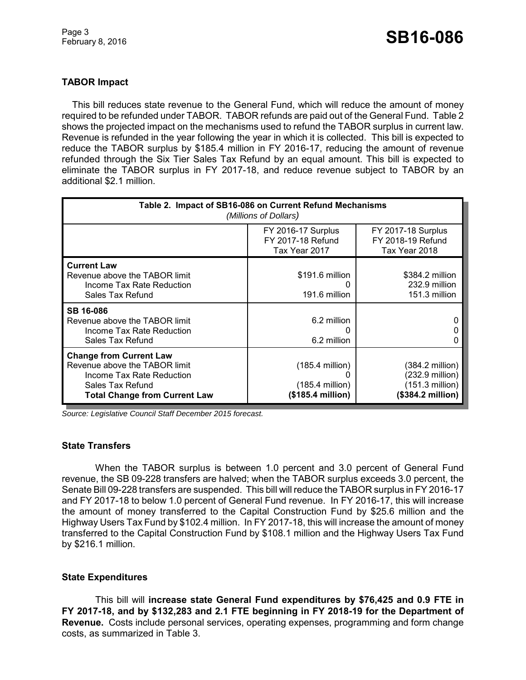# **TABOR Impact**

This bill reduces state revenue to the General Fund, which will reduce the amount of money required to be refunded under TABOR. TABOR refunds are paid out of the General Fund. Table 2 shows the projected impact on the mechanisms used to refund the TABOR surplus in current law. Revenue is refunded in the year following the year in which it is collected. This bill is expected to reduce the TABOR surplus by \$185.4 million in FY 2016-17, reducing the amount of revenue refunded through the Six Tier Sales Tax Refund by an equal amount. This bill is expected to eliminate the TABOR surplus in FY 2017-18, and reduce revenue subject to TABOR by an additional \$2.1 million.

| Table 2. Impact of SB16-086 on Current Refund Mechanisms<br>(Millions of Dollars)                                                                        |                                                                     |                                                                            |  |  |
|----------------------------------------------------------------------------------------------------------------------------------------------------------|---------------------------------------------------------------------|----------------------------------------------------------------------------|--|--|
|                                                                                                                                                          | <b>FY 2016-17 Surplus</b><br>FY 2017-18 Refund<br>Tax Year 2017     | <b>FY 2017-18 Surplus</b><br>FY 2018-19 Refund<br>Tax Year 2018            |  |  |
| <b>Current Law</b><br>Revenue above the TABOR limit<br>Income Tax Rate Reduction<br>Sales Tax Refund                                                     | \$191.6 million<br>191.6 million                                    | \$384.2 million<br>232.9 million<br>151.3 million                          |  |  |
| <b>SB 16-086</b><br>Revenue above the TABOR limit<br>Income Tax Rate Reduction<br>Sales Tax Refund                                                       | 6.2 million<br>O<br>6.2 million                                     |                                                                            |  |  |
| <b>Change from Current Law</b><br>Revenue above the TABOR limit<br>Income Tax Rate Reduction<br>Sales Tax Refund<br><b>Total Change from Current Law</b> | $(185.4 \text{ million})$<br>$(185.4$ million)<br>(\$185.4 million) | (384.2 million)<br>(232.9 million)<br>(151.3 million)<br>(\$384.2 million) |  |  |

*Source: Legislative Council Staff December 2015 forecast.*

#### **State Transfers**

When the TABOR surplus is between 1.0 percent and 3.0 percent of General Fund revenue, the SB 09-228 transfers are halved; when the TABOR surplus exceeds 3.0 percent, the Senate Bill 09-228 transfers are suspended. This bill will reduce the TABOR surplus in FY 2016-17 and FY 2017-18 to below 1.0 percent of General Fund revenue. In FY 2016-17, this will increase the amount of money transferred to the Capital Construction Fund by \$25.6 million and the Highway Users Tax Fund by \$102.4 million. In FY 2017-18, this will increase the amount of money transferred to the Capital Construction Fund by \$108.1 million and the Highway Users Tax Fund by \$216.1 million.

### **State Expenditures**

This bill will **increase state General Fund expenditures by \$76,425 and 0.9 FTE in FY 2017-18, and by \$132,283 and 2.1 FTE beginning in FY 2018-19 for the Department of Revenue.** Costs include personal services, operating expenses, programming and form change costs, as summarized in Table 3.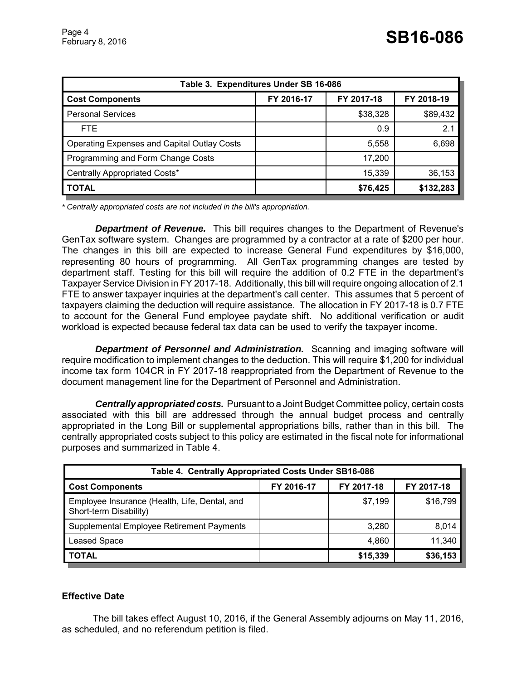| Table 3. Expenditures Under SB 16-086       |            |            |            |
|---------------------------------------------|------------|------------|------------|
| <b>Cost Components</b>                      | FY 2016-17 | FY 2017-18 | FY 2018-19 |
| <b>Personal Services</b>                    |            | \$38,328   | \$89,432   |
| FTE.                                        |            | 0.9        | 2.1        |
| Operating Expenses and Capital Outlay Costs |            | 5,558      | 6,698      |
| Programming and Form Change Costs           |            | 17,200     |            |
| Centrally Appropriated Costs*               |            | 15,339     | 36,153     |
| <b>TOTAL</b>                                |            | \$76,425   | \$132,283  |

*\* Centrally appropriated costs are not included in the bill's appropriation.*

*Department of Revenue.* This bill requires changes to the Department of Revenue's GenTax software system. Changes are programmed by a contractor at a rate of \$200 per hour. The changes in this bill are expected to increase General Fund expenditures by \$16,000, representing 80 hours of programming. All GenTax programming changes are tested by department staff. Testing for this bill will require the addition of 0.2 FTE in the department's Taxpayer Service Division in FY 2017-18. Additionally, this bill will require ongoing allocation of 2.1 FTE to answer taxpayer inquiries at the department's call center. This assumes that 5 percent of taxpayers claiming the deduction will require assistance. The allocation in FY 2017-18 is 0.7 FTE to account for the General Fund employee paydate shift. No additional verification or audit workload is expected because federal tax data can be used to verify the taxpayer income.

*Department of Personnel and Administration.* Scanning and imaging software will require modification to implement changes to the deduction. This will require \$1,200 for individual income tax form 104CR in FY 2017-18 reappropriated from the Department of Revenue to the document management line for the Department of Personnel and Administration.

*Centrally appropriated costs.* Pursuant to a Joint Budget Committee policy, certain costs associated with this bill are addressed through the annual budget process and centrally appropriated in the Long Bill or supplemental appropriations bills, rather than in this bill. The centrally appropriated costs subject to this policy are estimated in the fiscal note for informational purposes and summarized in Table 4.

| Table 4. Centrally Appropriated Costs Under SB16-086                    |            |            |            |
|-------------------------------------------------------------------------|------------|------------|------------|
| <b>Cost Components</b>                                                  | FY 2016-17 | FY 2017-18 | FY 2017-18 |
| Employee Insurance (Health, Life, Dental, and<br>Short-term Disability) |            | \$7,199    | \$16,799   |
| Supplemental Employee Retirement Payments                               |            | 3,280      | 8,014      |
| <b>Leased Space</b>                                                     |            | 4,860      | 11,340     |
| <b>TOTAL</b>                                                            |            | \$15,339   | \$36,153   |

### **Effective Date**

The bill takes effect August 10, 2016, if the General Assembly adjourns on May 11, 2016, as scheduled, and no referendum petition is filed.